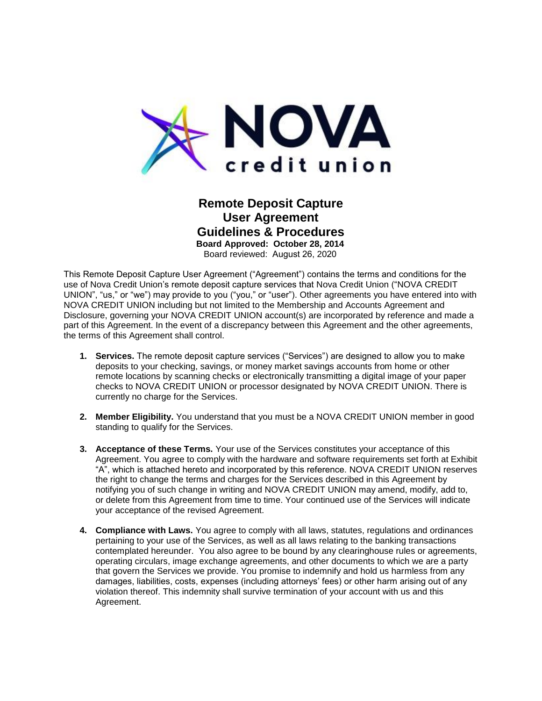

 Board reviewed: August 26, 2020 **Remote Deposit Capture User Agreement Guidelines & Procedures Board Approved: October 28, 2014** 

 use of Nova Credit Union's remote deposit capture services that Nova Credit Union ("NOVA CREDIT UNION", "us," or "we") may provide to you ("you," or "user"). Other agreements you have entered into with This Remote Deposit Capture User Agreement ("Agreement") contains the terms and conditions for the NOVA CREDIT UNION including but not limited to the Membership and Accounts Agreement and Disclosure, governing your NOVA CREDIT UNION account(s) are incorporated by reference and made a part of this Agreement. In the event of a discrepancy between this Agreement and the other agreements, the terms of this Agreement shall control.

- remote locations by scanning checks or electronically transmitting a digital image of your paper **1. Services.** The remote deposit capture services ("Services") are designed to allow you to make deposits to your checking, savings, or money market savings accounts from home or other checks to NOVA CREDIT UNION or processor designated by NOVA CREDIT UNION. There is currently no charge for the Services.
- **2. Member Eligibility.** You understand that you must be a NOVA CREDIT UNION member in good standing to qualify for the Services.
- or delete from this Agreement from time to time. Your continued use of the Services will indicate **3. Acceptance of these Terms.** Your use of the Services constitutes your acceptance of this Agreement. You agree to comply with the hardware and software requirements set forth at Exhibit "A", which is attached hereto and incorporated by this reference. NOVA CREDIT UNION reserves the right to change the terms and charges for the Services described in this Agreement by notifying you of such change in writing and NOVA CREDIT UNION may amend, modify, add to, your acceptance of the revised Agreement.
- **4. Compliance with Laws.** You agree to comply with all laws, statutes, regulations and ordinances pertaining to your use of the Services, as well as all laws relating to the banking transactions that govern the Services we provide. You promise to indemnify and hold us harmless from any violation thereof. This indemnity shall survive termination of your account with us and this contemplated hereunder. You also agree to be bound by any clearinghouse rules or agreements, operating circulars, image exchange agreements, and other documents to which we are a party damages, liabilities, costs, expenses (including attorneys' fees) or other harm arising out of any Agreement.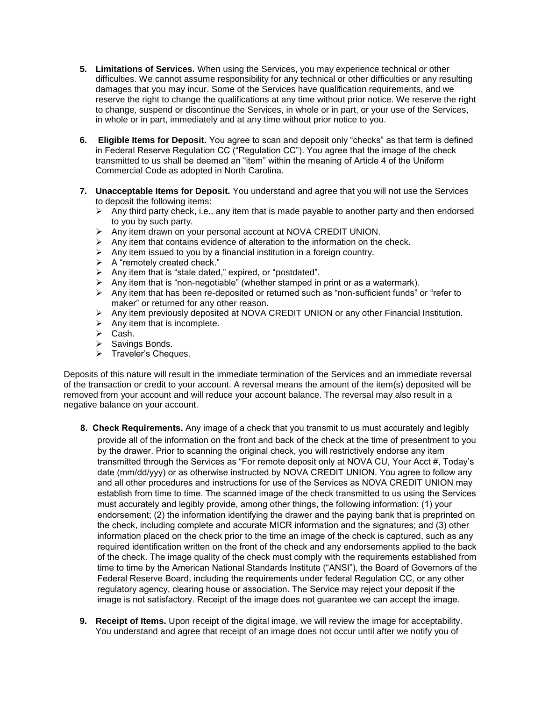- **5. Limitations of Services.** When using the Services, you may experience technical or other difficulties. We cannot assume responsibility for any technical or other difficulties or any resulting damages that you may incur. Some of the Services have qualification requirements, and we reserve the right to change the qualifications at any time without prior notice. We reserve the right to change, suspend or discontinue the Services, in whole or in part, or your use of the Services, in whole or in part, immediately and at any time without prior notice to you.
- **6. Eligible Items for Deposit.** You agree to scan and deposit only "checks" as that term is defined in Federal Reserve Regulation CC ("Regulation CC"). You agree that the image of the check transmitted to us shall be deemed an "item" within the meaning of Article 4 of the Uniform Commercial Code as adopted in North Carolina.
- **7. Unacceptable Items for Deposit.** You understand and agree that you will not use the Services to deposit the following items:
	- $\triangleright$  Any third party check, i.e., any item that is made payable to another party and then endorsed to you by such party.
	- ➢ Any item drawn on your personal account at NOVA CREDIT UNION.
	- ➢ Any item that contains evidence of alteration to the information on the check.
	- $\triangleright$  Any item issued to you by a financial institution in a foreign country.
	- ➢ A "remotely created check."
	- ➢ Any item that is "stale dated," expired, or "postdated".
	- $\triangleright$  Any item that is "non-negotiable" (whether stamped in print or as a watermark).
	- $\triangleright$  Any item that has been re-deposited or returned such as "non-sufficient funds" or "refer to maker" or returned for any other reason.
	- ➢ Any item previously deposited at NOVA CREDIT UNION or any other Financial Institution.
	- $\triangleright$  Any item that is incomplete.
	- ➢ Cash.
	- ➢ Savings Bonds.
	- ➢ Traveler's Cheques.

 of the transaction or credit to your account. A reversal means the amount of the item(s) deposited will be Deposits of this nature will result in the immediate termination of the Services and an immediate reversal removed from your account and will reduce your account balance. The reversal may also result in a negative balance on your account.

- provide all of the information on the front and back of the check at the time of presentment to you by the drawer. Prior to scanning the original check, you will restrictively endorse any item establish from time to time. The scanned image of the check transmitted to us using the Services must accurately and legibly provide, among other things, the following information: (1) your **8. Check Requirements.** Any image of a check that you transmit to us must accurately and legibly transmitted through the Services as "For remote deposit only at NOVA CU, Your Acct #, Today's date (mm/dd/yyy) or as otherwise instructed by NOVA CREDIT UNION. You agree to follow any and all other procedures and instructions for use of the Services as NOVA CREDIT UNION may endorsement; (2) the information identifying the drawer and the paying bank that is preprinted on the check, including complete and accurate MICR information and the signatures; and (3) other information placed on the check prior to the time an image of the check is captured, such as any required identification written on the front of the check and any endorsements applied to the back of the check. The image quality of the check must comply with the requirements established from time to time by the American National Standards Institute ("ANSI"), the Board of Governors of the Federal Reserve Board, including the requirements under federal Regulation CC, or any other regulatory agency, clearing house or association. The Service may reject your deposit if the image is not satisfactory. Receipt of the image does not guarantee we can accept the image.
- You understand and agree that receipt of an image does not occur until after we notify you of **9. Receipt of Items.** Upon receipt of the digital image, we will review the image for acceptability.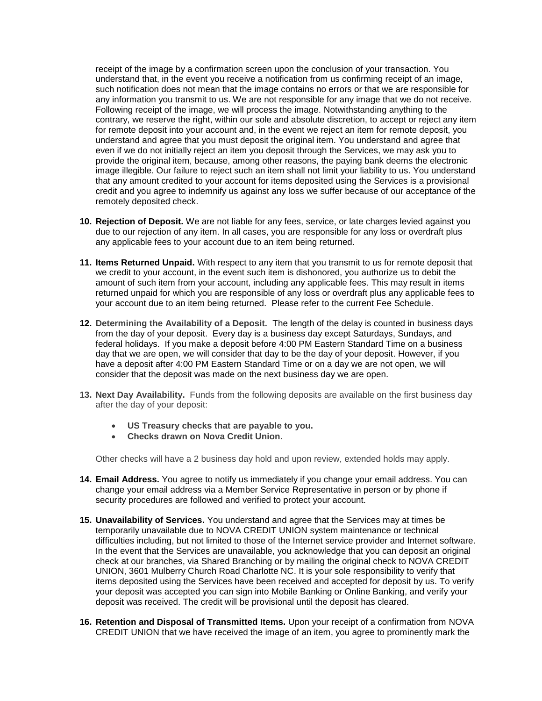receipt of the image by a confirmation screen upon the conclusion of your transaction. You any information you transmit to us. We are not responsible for any image that we do not receive. contrary, we reserve the right, within our sole and absolute discretion, to accept or reject any item understand and agree that you must deposit the original item. You understand and agree that even if we do not initially reject an item you deposit through the Services, we may ask you to image illegible. Our failure to reject such an item shall not limit your liability to us. You understand credit and you agree to indemnify us against any loss we suffer because of our acceptance of the understand that, in the event you receive a notification from us confirming receipt of an image, such notification does not mean that the image contains no errors or that we are responsible for Following receipt of the image, we will process the image. Notwithstanding anything to the for remote deposit into your account and, in the event we reject an item for remote deposit, you provide the original item, because, among other reasons, the paying bank deems the electronic that any amount credited to your account for items deposited using the Services is a provisional remotely deposited check.

- **10. Rejection of Deposit.** We are not liable for any fees, service, or late charges levied against you due to our rejection of any item. In all cases, you are responsible for any loss or overdraft plus any applicable fees to your account due to an item being returned.
- your account due to an item being returned. Please refer to the current Fee Schedule. **11. Items Returned Unpaid.** With respect to any item that you transmit to us for remote deposit that we credit to your account, in the event such item is dishonored, you authorize us to debit the amount of such item from your account, including any applicable fees. This may result in items returned unpaid for which you are responsible of any loss or overdraft plus any applicable fees to
- from the day of your deposit. Every day is a business day except Saturdays, Sundays, and **12. Determining the Availability of a Deposit.** The length of the delay is counted in business days federal holidays. If you make a deposit before 4:00 PM Eastern Standard Time on a business day that we are open, we will consider that day to be the day of your deposit. However, if you have a deposit after 4:00 PM Eastern Standard Time or on a day we are not open, we will consider that the deposit was made on the next business day we are open.
- after the day of your deposit: **13. Next Day Availability.** Funds from the following deposits are available on the first business day
	- US Treasury checks that are payable to you.
	- **Checks drawn on Nova Credit Union.**

Other checks will have a 2 business day hold and upon review, extended holds may apply.

- **14. Email Address.** You agree to notify us immediately if you change your email address. You can change your email address via a Member Service Representative in person or by phone if security procedures are followed and verified to protect your account.
- UNION, 3601 Mulberry Church Road Charlotte NC. It is your sole responsibility to verify that your deposit was accepted you can sign into Mobile Banking or Online Banking, and verify your deposit was received. The credit will be provisional until the deposit has cleared. **15. Unavailability of Services.** You understand and agree that the Services may at times be temporarily unavailable due to NOVA CREDIT UNION system maintenance or technical difficulties including, but not limited to those of the Internet service provider and Internet software. In the event that the Services are unavailable, you acknowledge that you can deposit an original check at our branches, via Shared Branching or by mailing the original check to NOVA CREDIT items deposited using the Services have been received and accepted for deposit by us. To verify
- **16. Retention and Disposal of Transmitted Items.** Upon your receipt of a confirmation from NOVA CREDIT UNION that we have received the image of an item, you agree to prominently mark the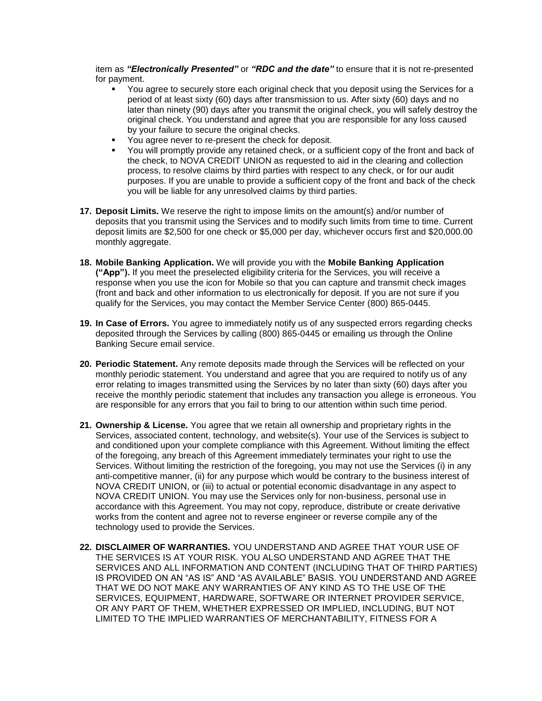item as *"Electronically Presented"* or *"RDC and the date"* to ensure that it is not re-presented for payment.

- later than ninety (90) days after you transmit the original check, you will safely destroy the You agree to securely store each original check that you deposit using the Services for a period of at least sixty (60) days after transmission to us. After sixty (60) days and no original check. You understand and agree that you are responsible for any loss caused by your failure to secure the original checks.
- You agree never to re-present the check for deposit.
- You will promptly provide any retained check, or a sufficient copy of the front and back of you will be liable for any unresolved claims by third parties. the check, to NOVA CREDIT UNION as requested to aid in the clearing and collection process, to resolve claims by third parties with respect to any check, or for our audit purposes. If you are unable to provide a sufficient copy of the front and back of the check
- **17. Deposit Limits.** We reserve the right to impose limits on the amount(s) and/or number of deposits that you transmit using the Services and to modify such limits from time to time. Current deposit limits are \$2,500 for one check or \$5,000 per day, whichever occurs first and \$20,000.00 monthly aggregate.
- (front and back and other information to us electronically for deposit. If you are not sure if you **18. Mobile Banking Application.** We will provide you with the **Mobile Banking Application ("App").** If you meet the preselected eligibility criteria for the Services, you will receive a response when you use the icon for Mobile so that you can capture and transmit check images qualify for the Services, you may contact the Member Service Center (800) 865-0445.
- **19. In Case of Errors.** You agree to immediately notify us of any suspected errors regarding checks deposited through the Services by calling (800) 865-0445 or emailing us through the Online Banking Secure email service.
- **20. Periodic Statement.** Any remote deposits made through the Services will be reflected on your error relating to images transmitted using the Services by no later than sixty (60) days after you monthly periodic statement. You understand and agree that you are required to notify us of any receive the monthly periodic statement that includes any transaction you allege is erroneous. You are responsible for any errors that you fail to bring to our attention within such time period.
- technology used to provide the Services. 21. Ownership & License. You agree that we retain all ownership and proprietary rights in the Services, associated content, technology, and website(s). Your use of the Services is subject to and conditioned upon your complete compliance with this Agreement. Without limiting the effect of the foregoing, any breach of this Agreement immediately terminates your right to use the Services. Without limiting the restriction of the foregoing, you may not use the Services (i) in any anti-competitive manner, (ii) for any purpose which would be contrary to the business interest of NOVA CREDIT UNION, or (iii) to actual or potential economic disadvantage in any aspect to NOVA CREDIT UNION. You may use the Services only for non-business, personal use in accordance with this Agreement. You may not copy, reproduce, distribute or create derivative works from the content and agree not to reverse engineer or reverse compile any of the
- THE SERVICES IS AT YOUR RISK. YOU ALSO UNDERSTAND AND AGREE THAT THE THAT WE DO NOT MAKE ANY WARRANTIES OF ANY KIND AS TO THE USE OF THE **22. DISCLAIMER OF WARRANTIES.** YOU UNDERSTAND AND AGREE THAT YOUR USE OF SERVICES AND ALL INFORMATION AND CONTENT (INCLUDING THAT OF THIRD PARTIES) IS PROVIDED ON AN "AS IS" AND "AS AVAILABLE" BASIS. YOU UNDERSTAND AND AGREE SERVICES, EQUIPMENT, HARDWARE, SOFTWARE OR INTERNET PROVIDER SERVICE, OR ANY PART OF THEM, WHETHER EXPRESSED OR IMPLIED, INCLUDING, BUT NOT LIMITED TO THE IMPLIED WARRANTIES OF MERCHANTABILITY, FITNESS FOR A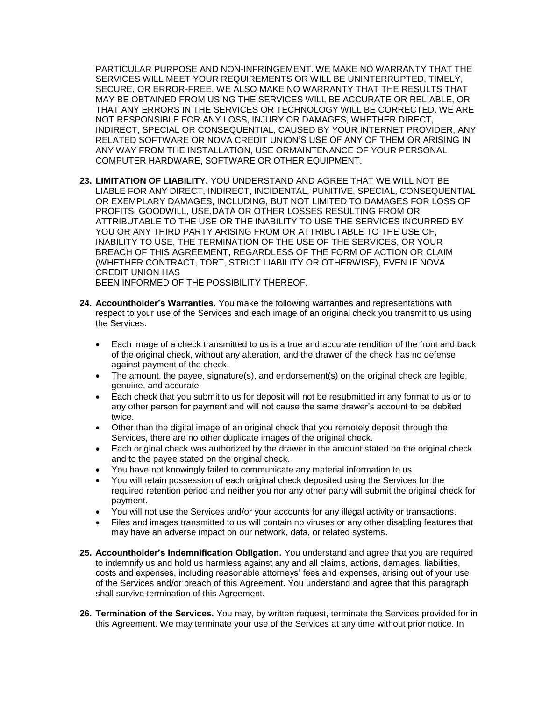PARTICULAR PURPOSE AND NON-INFRINGEMENT. WE MAKE NO WARRANTY THAT THE MAY BE OBTAINED FROM USING THE SERVICES WILL BE ACCURATE OR RELIABLE, OR SERVICES WILL MEET YOUR REQUIREMENTS OR WILL BE UNINTERRUPTED, TIMELY, SECURE, OR ERROR-FREE. WE ALSO MAKE NO WARRANTY THAT THE RESULTS THAT THAT ANY ERRORS IN THE SERVICES OR TECHNOLOGY WILL BE CORRECTED. WE ARE NOT RESPONSIBLE FOR ANY LOSS, INJURY OR DAMAGES, WHETHER DIRECT, INDIRECT, SPECIAL OR CONSEQUENTIAL, CAUSED BY YOUR INTERNET PROVIDER, ANY RELATED SOFTWARE OR NOVA CREDIT UNION'S USE OF ANY OF THEM OR ARISING IN ANY WAY FROM THE INSTALLATION, USE ORMAINTENANCE OF YOUR PERSONAL COMPUTER HARDWARE, SOFTWARE OR OTHER EQUIPMENT.

- **23. LIMITATION OF LIABILITY.** YOU UNDERSTAND AND AGREE THAT WE WILL NOT BE LIABLE FOR ANY DIRECT, INDIRECT, INCIDENTAL, PUNITIVE, SPECIAL, CONSEQUENTIAL OR EXEMPLARY DAMAGES, INCLUDING, BUT NOT LIMITED TO DAMAGES FOR LOSS OF PROFITS, GOODWILL, USE,DATA OR OTHER LOSSES RESULTING FROM OR ATTRIBUTABLE TO THE USE OR THE INABILITY TO USE THE SERVICES INCURRED BY YOU OR ANY THIRD PARTY ARISING FROM OR ATTRIBUTABLE TO THE USE OF, INABILITY TO USE, THE TERMINATION OF THE USE OF THE SERVICES, OR YOUR BREACH OF THIS AGREEMENT, REGARDLESS OF THE FORM OF ACTION OR CLAIM (WHETHER CONTRACT, TORT, STRICT LIABILITY OR OTHERWISE), EVEN IF NOVA CREDIT UNION HAS BEEN INFORMED OF THE POSSIBILITY THEREOF.
- **24. Accountholder's Warranties.** You make the following warranties and representations with respect to your use of the Services and each image of an original check you transmit to us using the Services:
	- Each image of a check transmitted to us is a true and accurate rendition of the front and back of the original check, without any alteration, and the drawer of the check has no defense against payment of the check.
	- The amount, the payee, signature(s), and endorsement(s) on the original check are legible, genuine, and accurate
	- any other person for payment and will not cause the same drawer's account to be debited Each check that you submit to us for deposit will not be resubmitted in any format to us or to twice.
	- Other than the digital image of an original check that you remotely deposit through the Services, there are no other duplicate images of the original check.
	- and to the payee stated on the original check. • Each original check was authorized by the drawer in the amount stated on the original check
	- You have not knowingly failed to communicate any material information to us.
	- required retention period and neither you nor any other party will submit the original check for • You will retain possession of each original check deposited using the Services for the payment.
	- • You will not use the Services and/or your accounts for any illegal activity or transactions.
	- Files and images transmitted to us will contain no viruses or any other disabling features that may have an adverse impact on our network, data, or related systems.
- **25. Accountholder's Indemnification Obligation.** You understand and agree that you are required to indemnify us and hold us harmless against any and all claims, actions, damages, liabilities, costs and expenses, including reasonable attorneys' fees and expenses, arising out of your use of the Services and/or breach of this Agreement. You understand and agree that this paragraph shall survive termination of this Agreement.
- **26. Termination of the Services.** You may, by written request, terminate the Services provided for in this Agreement. We may terminate your use of the Services at any time without prior notice. In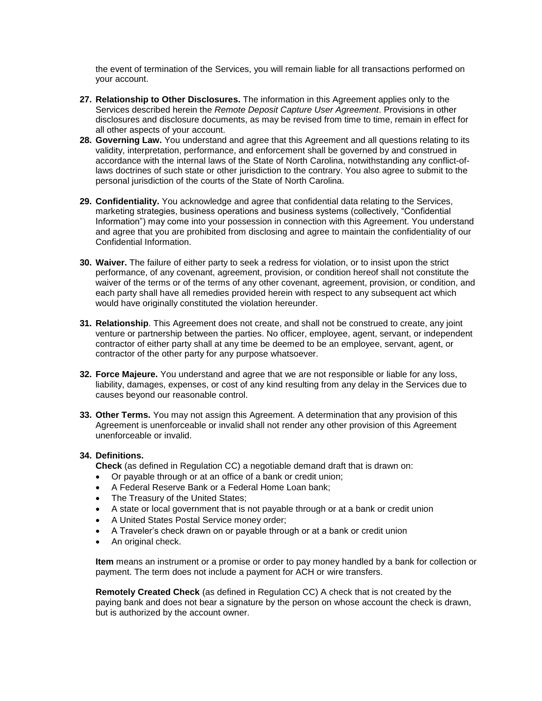the event of termination of the Services, you will remain liable for all transactions performed on your account.

- **27. Relationship to Other Disclosures.** The information in this Agreement applies only to the Services described herein the *Remote Deposit Capture User Agreement*. Provisions in other disclosures and disclosure documents, as may be revised from time to time, remain in effect for all other aspects of your account.
- **28. Governing Law.** You understand and agree that this Agreement and all questions relating to its validity, interpretation, performance, and enforcement shall be governed by and construed in accordance with the internal laws of the State of North Carolina, notwithstanding any conflict-oflaws doctrines of such state or other jurisdiction to the contrary. You also agree to submit to the personal jurisdiction of the courts of the State of North Carolina.
- **29. Confidentiality.** You acknowledge and agree that confidential data relating to the Services, marketing strategies, business operations and business systems (collectively, "Confidential Information") may come into your possession in connection with this Agreement. You understand and agree that you are prohibited from disclosing and agree to maintain the confidentiality of our Confidential Information.
- **30. Waiver.** The failure of either party to seek a redress for violation, or to insist upon the strict performance, of any covenant, agreement, provision, or condition hereof shall not constitute the waiver of the terms or of the terms of any other covenant, agreement, provision, or condition, and each party shall have all remedies provided herein with respect to any subsequent act which would have originally constituted the violation hereunder.
- **31. Relationship**. This Agreement does not create, and shall not be construed to create, any joint venture or partnership between the parties. No officer, employee, agent, servant, or independent contractor of either party shall at any time be deemed to be an employee, servant, agent, or contractor of the other party for any purpose whatsoever.
- liability, damages, expenses, or cost of any kind resulting from any delay in the Services due to **32. Force Majeure.** You understand and agree that we are not responsible or liable for any loss, causes beyond our reasonable control.
- Agreement is unenforceable or invalid shall not render any other provision of this Agreement **33. Other Terms.** You may not assign this Agreement. A determination that any provision of this unenforceable or invalid.

## **34. Definitions.**

**Check** (as defined in Regulation CC) a negotiable demand draft that is drawn on:

- Or payable through or at an office of a bank or credit union;
- • A Federal Reserve Bank or a Federal Home Loan bank;
- The Treasury of the United States:
- A state or local government that is not payable through or at a bank or credit union
- • A United States Postal Service money order;
- A Traveler's check drawn on or payable through or at a bank or credit union
- An original check.

**Item** means an instrument or a promise or order to pay money handled by a bank for collection or payment. The term does not include a payment for ACH or wire transfers.

**Remotely Created Check** (as defined in Regulation CC) A check that is not created by the paying bank and does not bear a signature by the person on whose account the check is drawn, but is authorized by the account owner.